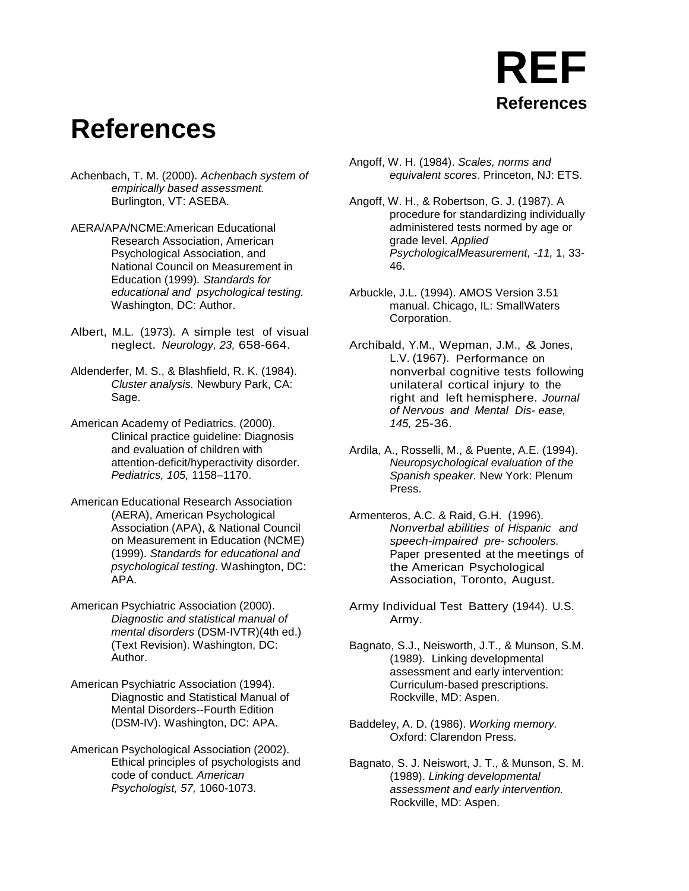#### **References**

- Achenbach, T. M. (2000). *Achenbach system of empirically based assessment.* Burlington, VT: ASEBA.
- AERA/APA/NCME:American Educational Research Association, American Psychological Association, and National Council on Measurement in Education (1999)*. Standards for educational and psychological testing.* Washington, DC: Author.
- Albert, M.L. (1973). A simple test of visual neglect. *Neurology, 23,* 658-664.
- Aldenderfer, M. S., & Blashfield, R. K. (1984). *Cluster analysis.* Newbury Park, CA: Sage.
- American Academy of Pediatrics. (2000). Clinical practice guideline: Diagnosis and evaluation of children with attention-deficit/hyperactivity disorder. *Pediatrics, 105,* 1158–1170.
- American Educational Research Association (AERA), American Psychological Association (APA), & National Council on Measurement in Education (NCME) (1999). *Standards for educational and psychological testing*. Washington, DC: APA.
- American Psychiatric Association (2000). *Diagnostic and statistical manual of mental disorders* (DSM-IVTR)(4th ed.) (Text Revision). Washington, DC: Author.
- American Psychiatric Association (1994). Diagnostic and Statistical Manual of Mental Disorders--Fourth Edition (DSM-IV). Washington, DC: APA.
- American Psychological Association (2002). Ethical principles of psychologists and code of conduct. *American Psychologist, 57,* 1060-1073.
- Angoff, W. H. (1984). *Scales, norms and equivalent scores*. Princeton, NJ: ETS.
- Angoff, W. H., & Robertson, G. J. (1987). A procedure for standardizing individually administered tests normed by age or grade level. *Applied PsychologicalMeasurement, -11,* 1, 33- 46.
- Arbuckle, J.L. (1994). AMOS Version 3.51 manual. Chicago, IL: SmallWaters Corporation.
- Archibald, Y.M., Wepman, J.M., & Jones, L.V. (1967). Performance on nonverbal cognitive tests following unilateral cortical injury to the right and left hemisphere. *Journal of Nervous and Mental Dis- ease, 145,* 25-36.
- Ardila, A., Rosselli, M., & Puente, A.E. (1994). *Neuropsychological evaluation of the Spanish speaker.* New York: Plenum Press.
- Armenteros, A.C. & Raid, G.H. (1996). *Nonverbal abilities of Hispanic and speech-impaired pre- schoolers.* Paper presented at the meetings of the American Psychological Association, Toronto, August.
- Army Individual Test Battery (1944). U.S. Army.
- Bagnato, S.J., Neisworth, J.T., & Munson, S.M. (1989). Linking developmental assessment and early intervention: Curriculum-based prescriptions. Rockville, MD: Aspen.
- Baddeley, A. D. (1986). *Working memory.* Oxford: Clarendon Press.
- Bagnato, S. J. Neiswort, J. T., & Munson, S. M. (1989). *Linking developmental assessment and early intervention.* Rockville, MD: Aspen.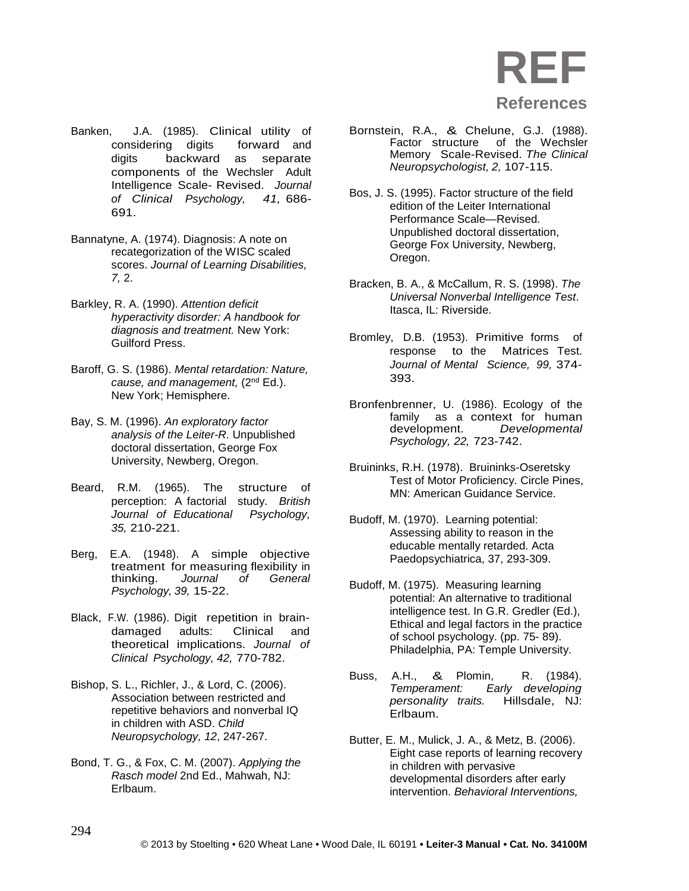

- Banken, J.A. (1985). Clinical utility of considering digits digits backward as separate components of the Wechsler Adult Intelligence Scale- Revised. *Journal of Clinical Psychology, 41,* 686- 691.
- Bannatyne, A. (1974). Diagnosis: A note on recategorization of the WISC scaled scores. *Journal of Learning Disabilities, 7,* 2.
- Barkley, R. A. (1990). *Attention deficit hyperactivity disorder: A handbook for diagnosis and treatment.* New York: Guilford Press.
- Baroff, G. S. (1986). *Mental retardation: Nature, cause, and management,* (2nd Ed.). New York; Hemisphere.
- Bay, S. M. (1996). *An exploratory factor analysis of the Leiter-R.* Unpublished doctoral dissertation, George Fox University, Newberg, Oregon.
- Beard, R.M. (1965). The structure of perception: A factorial study. *British Journal of Educational Psychology, 35,* 210-221.
- Berg, E.A. (1948). A simple objective treatment for measuring flexibility in<br>thinking. Journal of General thinking. *Journal of General Psychology, 39,* 15-22.
- Black, F.W. (1986). Digit repetition in braindamaged adults: Clinical and theoretical implications. *Journal of Clinical Psychology, 42,* 770-782.
- Bishop, S. L., Richler, J., & Lord, C. (2006). Association between restricted and repetitive behaviors and nonverbal IQ in children with ASD. *Child Neuropsychology, 12*, 247-267.
- Bond, T. G., & Fox, C. M. (2007). *Applying the Rasch model* 2nd Ed., Mahwah, NJ: Erlbaum.
- Bornstein, R.A., & Chelune, G.J. (1988). of the Wechsler Memory Scale-Revised. *The Clinical Neuropsychologist, 2,* 107-115.
- Bos, J. S. (1995). Factor structure of the field edition of the Leiter International Performance Scale—Revised. Unpublished doctoral dissertation, George Fox University, Newberg, Oregon.
- Bracken, B. A., & McCallum, R. S. (1998). *The Universal Nonverbal Intelligence Test*. Itasca, IL: Riverside.
- Bromley, D.B. (1953). Primitive forms of response to the Matrices Test. *Journal of Mental Science, 99,* 374- 393.
- Bronfenbrenner, U. (1986). Ecology of the family as a context for human<br>development. Developmental development. *Developmental Psychology, 22,* 723-742.
- Bruininks, R.H. (1978). Bruininks-Oseretsky Test of Motor Proficiency. Circle Pines, MN: American Guidance Service.
- Budoff, M. (1970). Learning potential: Assessing ability to reason in the educable mentally retarded. Acta Paedopsychiatrica, 37, 293-309.
- Budoff, M. (1975). Measuring learning potential: An alternative to traditional intelligence test. In G.R. Gredler (Ed.), Ethical and legal factors in the practice of school psychology. (pp. 75- 89). Philadelphia, PA: Temple University.
- Buss, A.H., & Plomin, R. (1984).<br>Temperament: Early developing *Early developing personality traits.* Hillsdale, NJ: Erlbaum.
- Butter, E. M., Mulick, J. A., & Metz, B. (2006). Eight case reports of learning recovery in children with pervasive developmental disorders after early intervention. *Behavioral Interventions,*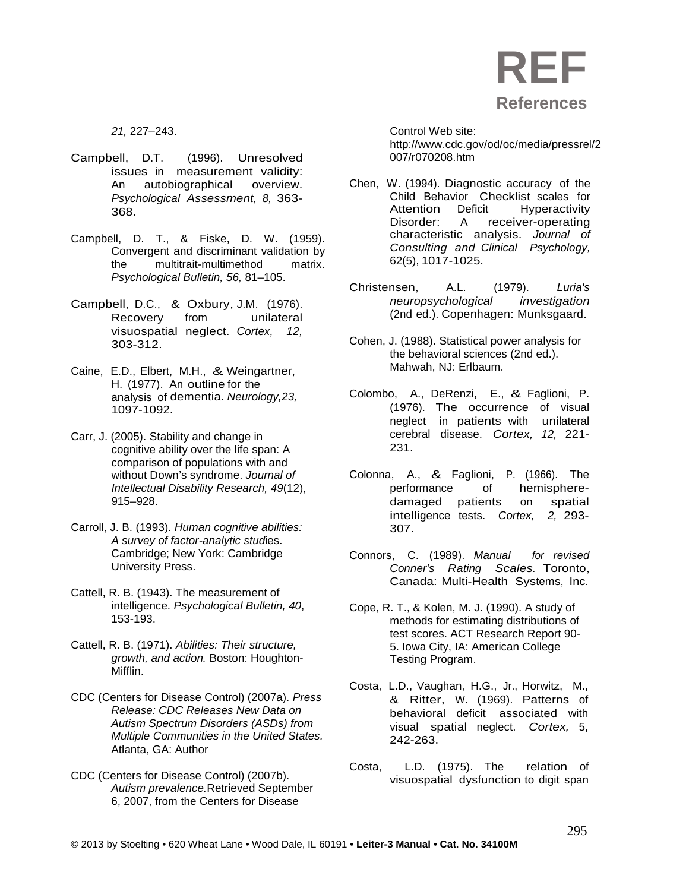

*21,* 227–243.

- Campbell, D.T. (1996). Unresolved issues in measurement validity: An autobiographical overview. *Psychological Assessment, 8,* 363- 368.
- Campbell, D. T., & Fiske, D. W. (1959). Convergent and discriminant validation by the multitrait-multimethod matrix. *Psychological Bulletin, 56,* 81–105.
- Campbell, D.C., & Oxbury, J.M. (1976). Recovery from unilateral visuospatial neglect. *Cortex, 12,* 303-312.
- Caine, E.D., Elbert, M.H., & Weingartner, H. (1977). An outline for the analysis of dementia. *Neurology,23,* 1097-1092.
- Carr, J. (2005). Stability and change in cognitive ability over the life span: A comparison of populations with and without Down's syndrome. *Journal of Intellectual Disability Research, 49*(12), 915–928.
- Carroll, J. B. (1993). *Human cognitive abilities: A survey of factor-analytic stud*ies. Cambridge; New York: Cambridge University Press.
- Cattell, R. B. (1943). The measurement of intelligence. *Psychological Bulletin, 40*, 153-193.
- Cattell, R. B. (1971). *Abilities: Their structure, growth, and action.* Boston: Houghton-Mifflin.
- CDC (Centers for Disease Control) (2007a). *Press Release: CDC Releases New Data on Autism Spectrum Disorders (ASDs) from Multiple Communities in the United States.* Atlanta, GA: Author
- CDC (Centers for Disease Control) (2007b). *Autism prevalence.*Retrieved September 6, 2007, from the Centers for Disease

Control Web site: [http://www.cdc.gov/od/oc/media/pressrel/2](http://www.cdc.gov/od/oc/media/pressrel/2007/r070208.htm) [007/r070208.htm](http://www.cdc.gov/od/oc/media/pressrel/2007/r070208.htm)

- Chen, W. (1994). Diagnostic accuracy of the Child Behavior Checklist scales for Attention Deficit Hyperactivity<br>Disorder: A receiver-operating receiver-operating characteristic analysis. *Journal of Consulting and Clinical Psychology,*  62(5), 1017-1025.
- Christensen, A.L. (1979). *Luria's neuropsychological investigation*  (2nd ed.). Copenhagen: Munksgaard.
- Cohen, J. (1988). Statistical power analysis for the behavioral sciences (2nd ed.). Mahwah, NJ: Erlbaum.
- Colombo, A., DeRenzi, E., & Faglioni, P. (1976). The occurrence of visual neglect in patients with unilateral cerebral disease. *Cortex, 12,* 221- 231.
- Colonna, A., & Faglioni, P. (1966). The hemispheredamaged patients on spatial intelligence tests. *Cortex, 2,* 293- 307.
- Connors, C. (1989). *Manual for revised Conner's Rating Scales.* Toronto, Canada: Multi-Health Systems, Inc.
- Cope, R. T., & Kolen, M. J. (1990). A study of methods for estimating distributions of test scores. ACT Research Report 90- 5. Iowa City, IA: American College Testing Program.
- Costa, L.D., Vaughan, H.G., Jr., Horwitz, M., & Ritter, W. (1969). Patterns of behavioral deficit associated with visual spatial neglect. *Cortex,* 5, 242-263.
- Costa, L.D. (1975). The relation of visuospatial dysfunction to digit span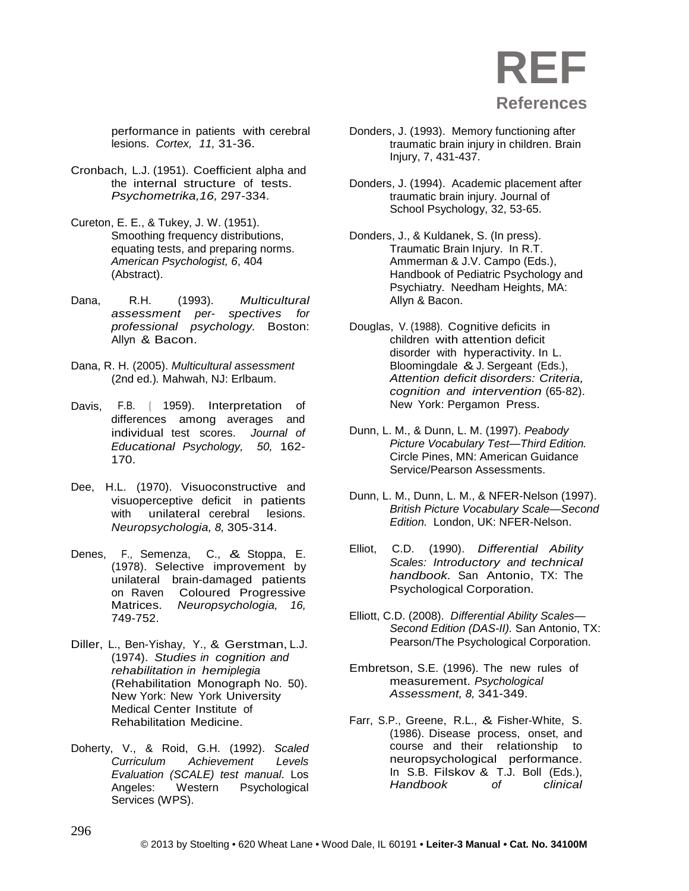performance in patients with cerebral lesions. *Cortex, 11,* 31-36.

- Cronbach, L.J. (1951). Coefficient alpha and the internal structure of tests. *Psychometrika,16,* 297-334.
- Cureton, E. E., & Tukey, J. W. (1951). Smoothing frequency distributions, equating tests, and preparing norms. *American Psychologist, 6*, 404 (Abstract).
- Dana, R.H. (1993). *Multicultural assessment per- spectives for professional psychology.* Boston: Allyn & Bacon.
- Dana, R. H. (2005). *Multicultural assessment*  (2nd ed.)*.* Mahwah, NJ: Erlbaum.
- Davis, F.B. ( 1959). Interpretation of differences among averages and individual test scores. *Journal of Educational Psychology, 50,* 162- 170.
- Dee, H.L. (1970). Visuoconstructive and visuoperceptive deficit in patients with unilateral cerebral lesions. *Neuropsychologia, 8,* 305-314.
- Denes, F., Semenza, C., & Stoppa, E. (1978). Selective improvement by unilateral brain-damaged patients on Raven Coloured Progressive Matrices. *Neuropsychologia, 16,* 749-752.
- Diller, L., Ben-Yishay, Y., & Gerstman, L.J. (1974). *Studies in cognition and rehabilitation in hemiplegia*  (Rehabilitation Monograph No. 50). New York: New York University Medical Center Institute of Rehabilitation Medicine.
- Doherty, V., & Roid, G.H. (1992). *Scaled Curriculum Achievement Levels Evaluation (SCALE) test manual*. Los Angeles: Western Psychological Services (WPS).
- Donders, J. (1993). Memory functioning after traumatic brain injury in children. Brain Injury, 7, 431-437.
- Donders, J. (1994). Academic placement after traumatic brain injury. Journal of School Psychology, 32, 53-65.
- Donders, J., & Kuldanek, S. (In press). Traumatic Brain Injury. In R.T. Ammerman & J.V. Campo (Eds.), Handbook of Pediatric Psychology and Psychiatry. Needham Heights, MA: Allyn & Bacon.
- Douglas, V. (1988). Cognitive deficits in children with attention deficit disorder with hyperactivity. In L. Bloomingdale &J. Sergeant (Eds.), *Attention deficit disorders: Criteria, cognition and intervention* (65-82). New York: Pergamon Press.
- Dunn, L. M., & Dunn, L. M. (1997). *Peabody Picture Vocabulary Test—Third Edition.* Circle Pines, MN: American Guidance Service/Pearson Assessments.
- Dunn, L. M., Dunn, L. M., & NFER-Nelson (1997). *British Picture Vocabulary Scale—Second Edition.* London, UK: NFER-Nelson.
- Elliot, C.D. (1990). *Differential Ability Scales: Introductory and technical handbook.* San Antonio, TX: The Psychological Corporation.
- Elliott, C.D. (2008). *Differential Ability Scales— Second Edition (DAS-II).* San Antonio, TX: Pearson/The Psychological Corporation.
- Embretson, S.E. (1996). The new rules of measurement. *Psychological Assessment, 8,* 341-349.
- Farr, S.P., Greene, R.L., & Fisher-White, S. (1986). Disease process, onset, and course and their relationship to neuropsychological performance. In S.B. Filskov & T.J. Boll (Eds.),<br>Handbook of clinical  $H$ *andbook*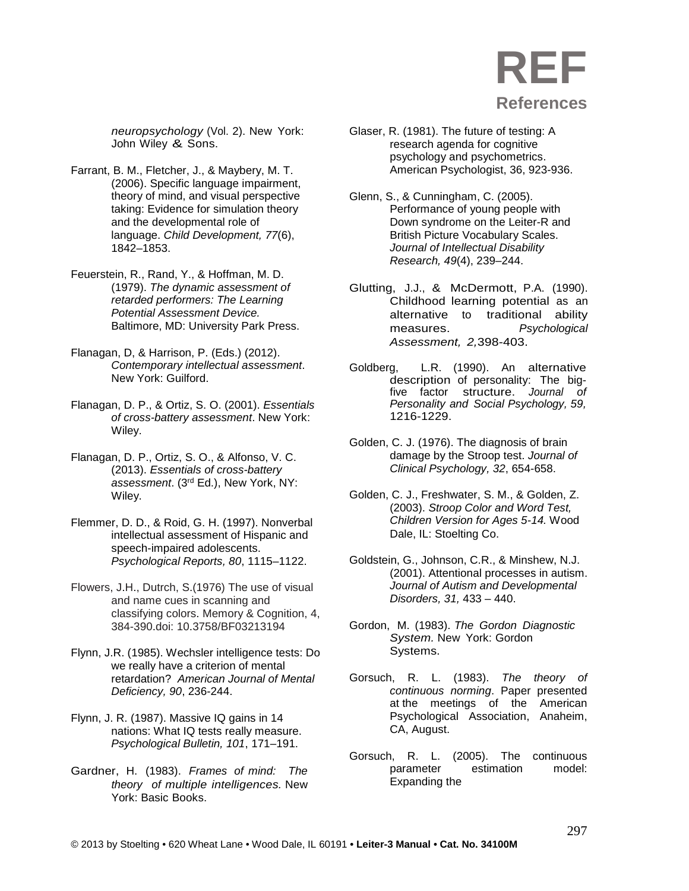

*neuropsychology* (Vol. 2). New York: John Wiley & Sons.

- Farrant, B. M., Fletcher, J., & Maybery, M. T. (2006). Specific language impairment, theory of mind, and visual perspective taking: Evidence for simulation theory and the developmental role of language. *Child Development, 77*(6), 1842–1853.
- Feuerstein, R., Rand, Y., & Hoffman, M. D. (1979). *The dynamic assessment of retarded performers: The Learning Potential Assessment Device.* Baltimore, MD: University Park Press.
- Flanagan, D, & Harrison, P. (Eds.) (2012). *Contemporary intellectual assessment*. New York: Guilford.
- Flanagan, D. P., & Ortiz, S. O. (2001). *Essentials of cross-battery assessment*. New York: Wiley.
- Flanagan, D. P., Ortiz, S. O., & Alfonso, V. C. (2013). *Essentials of cross-battery assessment*. (3rd Ed.), New York, NY: Wiley.
- Flemmer, D. D., & Roid, G. H. (1997). Nonverbal intellectual assessment of Hispanic and speech-impaired adolescents. *Psychological Reports, 80*, 1115–1122.
- Flowers, J.H., Dutrch, S.(1976) The use of visual and name cues in scanning and classifying colors. Memory & Cognition, 4, 384-390.doi: 10.3758/BF03213194
- Flynn, J.R. (1985). Wechsler intelligence tests: Do we really have a criterion of mental retardation? *American Journal of Mental Deficiency, 90*, 236-244.
- Flynn, J. R. (1987). Massive IQ gains in 14 nations: What IQ tests really measure. *Psychological Bulletin, 101*, 171–191.
- Gardner, H. (1983). *Frames of mind: The theory of multiple intelligences.* New York: Basic Books.
- Glaser, R. (1981). The future of testing: A research agenda for cognitive psychology and psychometrics. American Psychologist, 36, 923-936.
- Glenn, S., & Cunningham, C. (2005). Performance of young people with Down syndrome on the Leiter-R and British Picture Vocabulary Scales. *Journal of Intellectual Disability Research, 49*(4), 239–244.
- Glutting, J.J., & McDermott, P.A. (1990). Childhood learning potential as an alternative to traditional ability measures. *Psychological Assessment, 2,*398-403.
- Goldberg, L.R. (1990). An alternative description of personality: The bigfive factor structure. *Journal of Personality and Social Psychology, 59,* 1216-1229.
- Golden, C. J. (1976). The diagnosis of brain damage by the Stroop test. *Journal of Clinical Psychology, 32*, 654-658.
- Golden, C. J., Freshwater, S. M., & Golden, Z. (2003). *Stroop Color and Word Test, Children Version for Ages 5-14.* Wood Dale, IL: Stoelting Co.
- Goldstein, G., Johnson, C.R., & Minshew, N.J. (2001). Attentional processes in autism. *Journal of Autism and Developmental Disorders, 31,* 433 – 440.
- Gordon, M. (1983). *The Gordon Diagnostic System.* New York: Gordon Systems.
- Gorsuch, R. L. (1983). *The theory of continuous norming*. Paper presented at the meetings of the American Psychological Association, Anaheim, CA, August.
- Gorsuch, R. L. (2005). The continuous parameter estimation model: Expanding the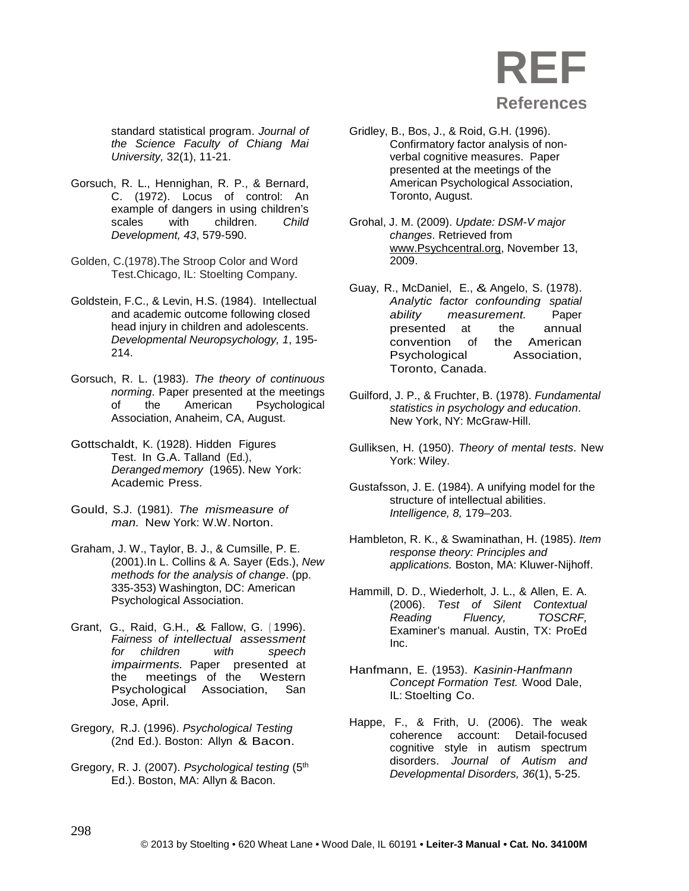standard statistical program. *Journal of the Science Faculty of Chiang Mai University,* 32(1), 11-21.

- Gorsuch, R. L., Hennighan, R. P., & Bernard, C. (1972). Locus of control: An example of dangers in using children's scales with children. *Child Development, 43*, 579-590.
- Golden, C.(1978).The Stroop Color and Word Test.Chicago, IL: Stoelting Company.
- Goldstein, F.C., & Levin, H.S. (1984). Intellectual and academic outcome following closed head injury in children and adolescents. *Developmental Neuropsychology, 1*, 195- 214.
- Gorsuch, R. L. (1983). *The theory of continuous norming*. Paper presented at the meetings<br>of the American Psychological the American Psychological Association, Anaheim, CA, August.
- Gottschaldt, K. (1928). Hidden Figures Test. In G.A. Talland (Ed.), *Deranged memory* (1965). New York: Academic Press.
- Gould, S.J. (1981). *The mismeasure of man.* New York: W.W. Norton.
- Graham, J. W., Taylor, B. J., & Cumsille, P. E. (2001).In L. Collins & A. Sayer (Eds.), *New methods for the analysis of change*. (pp. 335-353) Washington, DC: American Psychological Association.
- Grant, G., Raid, G.H., & Fallow, G. ( 1996). *Fairness of intellectual assessment for children with speech impairments.* Paper presented at the meetings of the Western Psychological Association, San Jose, April.
- Gregory, R.J. (1996). *Psychological Testing* (2nd Ed.). Boston: Allyn & Bacon.
- Gregory, R. J. (2007). *Psychological testing* (5th Ed.). Boston, MA: Allyn & Bacon.
- Gridley, B., Bos, J., & Roid, G.H. (1996). Confirmatory factor analysis of nonverbal cognitive measures. Paper presented at the meetings of the American Psychological Association, Toronto, August.
- Grohal, J. M. (2009). *Update: DSM-V major changes*. Retrieved from [www.Psychcentral.org,](http://www.psychcentral.org/) November 13, 2009.
- Guay, R., McDaniel, E., & Angelo, S. (1978). *Analytic factor confounding spatial ability measurement.* Paper presented at the annual convention of the American Psychological Association, Toronto, Canada.
- Guilford, J. P., & Fruchter, B. (1978). *Fundamental statistics in psychology and education*. New York, NY: McGraw-Hill.
- Gulliksen, H. (1950). *Theory of mental tests*. New York: Wiley.
- Gustafsson, J. E. (1984). A unifying model for the structure of intellectual abilities. *Intelligence, 8,* 179–203.
- Hambleton, R. K., & Swaminathan, H. (1985). *Item response theory: Principles and applications.* Boston, MA: Kluwer-Nijhoff.
- Hammill, D. D., Wiederholt, J. L., & Allen, E. A. (2006). *Test of Silent Contextual Reading Fluency, TOSCRF,* Examiner's manual. Austin, TX: ProEd Inc.
- Hanfmann, E. (1953). *Kasinin-Hanfmann Concept Formation Test.* Wood Dale, IL: Stoelting Co.
- Happe, F., & Frith, U. (2006). The weak coherence account: Detail-focused cognitive style in autism spectrum disorders. *Journal of Autism and Developmental Disorders, 36*(1), 5-25.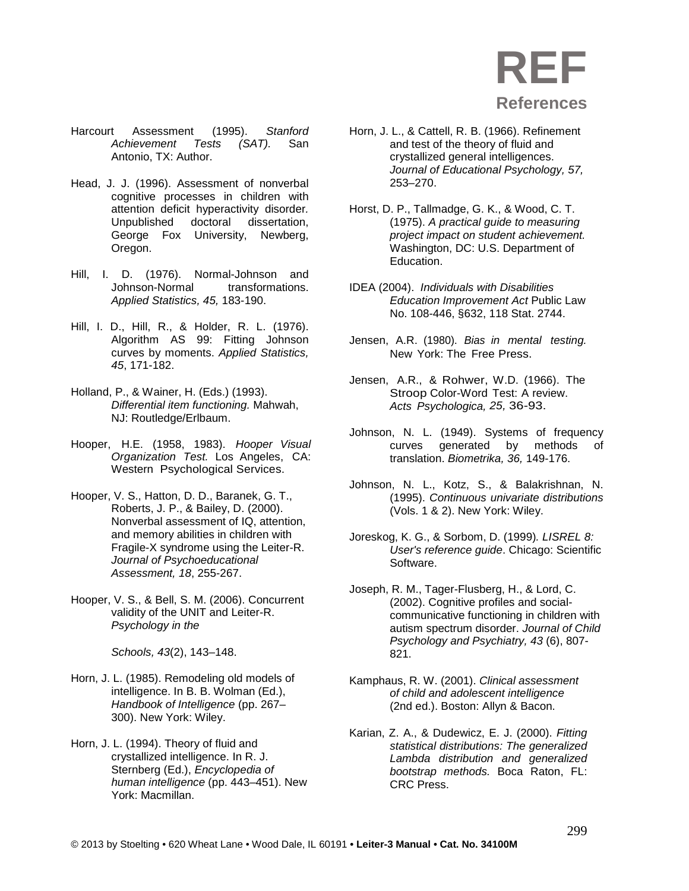- Harcourt Assessment (1995). *Stanford (SAT).* San Antonio, TX: Author.
- Head, J. J. (1996). Assessment of nonverbal cognitive processes in children with attention deficit hyperactivity disorder*.* Unpublished doctoral dissertation, George Fox University, Newberg, Oregon.
- Hill, I. D. (1976). Normal-Johnson and Johnson-Normal *Applied Statistics, 45,* 183-190.
- Hill, I. D., Hill, R., & Holder, R. L. (1976). Algorithm AS 99: Fitting Johnson curves by moments. *Applied Statistics, 45*, 171-182.
- Holland, P., & Wainer, H. (Eds.) (1993). *Differential item functioning.* Mahwah, NJ: Routledge/Erlbaum.
- Hooper, H.E. (1958, 1983). *Hooper Visual Organization Test.* Los Angeles, CA: Western Psychological Services.
- Hooper, V. S., Hatton, D. D., Baranek, G. T., Roberts, J. P., & Bailey, D. (2000). Nonverbal assessment of IQ, attention, and memory abilities in children with Fragile-X syndrome using the Leiter-R. *Journal of Psychoeducational Assessment, 18*, 255-267.
- Hooper, V. S., & Bell, S. M. (2006). Concurrent validity of the UNIT and Leiter-R. *Psychology in the*

*Schools, 43*(2), 143–148.

- Horn, J. L. (1985). Remodeling old models of intelligence. In B. B. Wolman (Ed.), *Handbook of Intelligence* (pp. 267– 300). New York: Wiley.
- Horn, J. L. (1994). Theory of fluid and crystallized intelligence. In R. J. Sternberg (Ed.), *Encyclopedia of human intelligence* (pp. 443–451). New York: Macmillan.
- Horn, J. L., & Cattell, R. B. (1966). Refinement and test of the theory of fluid and crystallized general intelligences. *Journal of Educational Psychology, 57,* 253–270.
- Horst, D. P., Tallmadge, G. K., & Wood, C. T. (1975). *A practical guide to measuring project impact on student achievement.*  Washington, DC: U.S. Department of Education.
- IDEA (2004). *Individuals with Disabilities Education Improvement Act* Public Law No. 108-446, §632, 118 Stat. 2744.
- Jensen, A.R. (1980). *Bias in mental testing.* New York: The Free Press.
- Jensen, A.R., & Rohwer, W.D. (1966). The Stroop Color-Word Test: A review. *Acts Psychologica, 25,* 36-93.
- Johnson, N. L. (1949). Systems of frequency curves generated by methods of translation. *Biometrika, 36,* 149-176.
- Johnson, N. L., Kotz, S., & Balakrishnan, N. (1995). *Continuous univariate distributions* (Vols. 1 & 2). New York: Wiley.
- Joreskog, K. G., & Sorbom, D. (1999)*. LISREL 8: User's reference guide*. Chicago: Scientific Software.
- Joseph, R. M., Tager-Flusberg, H., & Lord, C. (2002). Cognitive profiles and socialcommunicative functioning in children with autism spectrum disorder. *Journal of Child Psychology and Psychiatry, 43* (6), 807- 821.
- Kamphaus, R. W. (2001). *Clinical assessment of child and adolescent intelligence*  (2nd ed.). Boston: Allyn & Bacon.
- Karian, Z. A., & Dudewicz, E. J. (2000). *Fitting statistical distributions: The generalized Lambda distribution and generalized bootstrap methods.* Boca Raton, FL: CRC Press.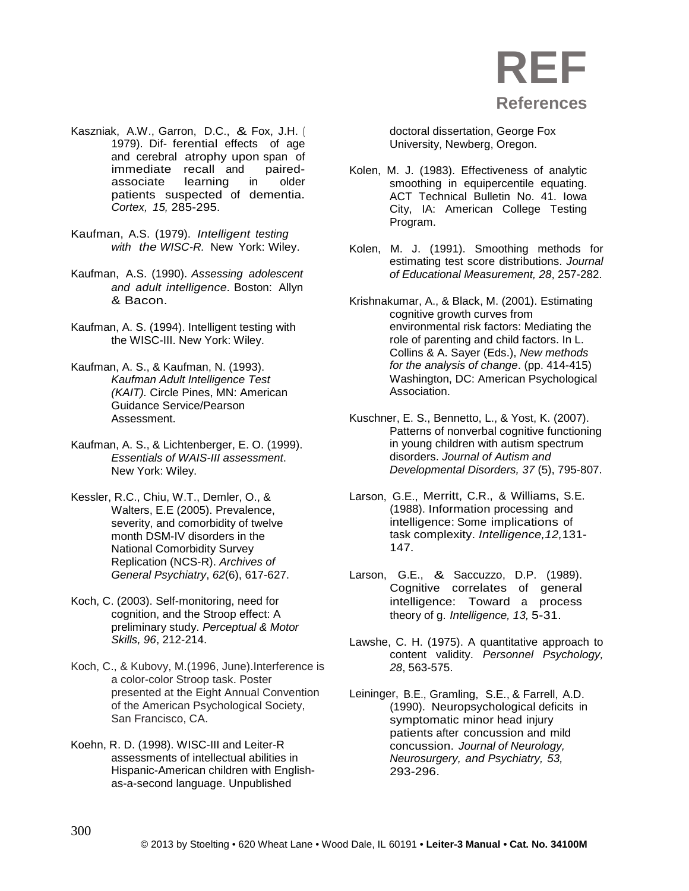

- Kaszniak, A.W., Garron, D.C., & Fox, J.H. ( 1979). Dif- ferential effects of age and cerebral atrophy upon span of immediate recall and pairedassociate learning in older patients suspected of dementia. *Cortex, 15,* 285-295.
- Kaufman, A.S. (1979). *Intelligent testing with the WISC-R.* New York: Wiley.
- Kaufman, A.S. (1990). *Assessing adolescent and adult intelligence.* Boston: Allyn & Bacon.
- Kaufman, A. S. (1994). Intelligent testing with the WISC-III. New York: Wiley.
- Kaufman, A. S., & Kaufman, N. (1993). *Kaufman Adult Intelligence Test (KAIT).* Circle Pines, MN: American Guidance Service/Pearson Assessment.
- Kaufman, A. S., & Lichtenberger, E. O. (1999). *Essentials of WAIS-III assessment*. New York: Wiley.
- Kessler, R.C., Chiu, W.T., Demler, O., & Walters, E.E (2005). Prevalence, severity, and comorbidity of twelve month DSM-IV disorders in the National Comorbidity Survey Replication (NCS-R). *Archives of General Psychiatry*, *62*(6), 617-627.
- Koch, C. (2003). Self-monitoring, need for cognition, and the Stroop effect: A preliminary study. *Perceptual & Motor Skills, 96*, 212-214.
- Koch, C., & Kubovy, M.(1996, June).Interference is a color-color Stroop task. Poster presented at the Eight Annual Convention of the American Psychological Society, San Francisco, CA.
- Koehn, R. D. (1998). WISC-III and Leiter-R assessments of intellectual abilities in Hispanic-American children with Englishas-a-second language. Unpublished

doctoral dissertation, George Fox University, Newberg, Oregon.

- Kolen, M. J. (1983). Effectiveness of analytic smoothing in equipercentile equating. ACT Technical Bulletin No. 41. Iowa City, IA: American College Testing Program.
- Kolen, M. J. (1991). Smoothing methods for estimating test score distributions. *Journal of Educational Measurement, 28*, 257-282.
- Krishnakumar, A., & Black, M. (2001). Estimating cognitive growth curves from environmental risk factors: Mediating the role of parenting and child factors. In L. Collins & A. Sayer (Eds.), *New methods for the analysis of change*. (pp. 414-415) Washington, DC: American Psychological Association.
- Kuschner, E. S., Bennetto, L., & Yost, K. (2007). Patterns of nonverbal cognitive functioning in young children with autism spectrum disorders. *Journal of Autism and Developmental Disorders, 37* (5), 795-807.
- Larson, G.E., Merritt, C.R., & Williams, S.E. (1988). Information processing and intelligence: Some implications of task complexity. *Intelligence,12,*131- 147.
- Larson, G.E., & Saccuzzo, D.P. (1989). Cognitive correlates of general intelligence: Toward a process theory of g. *Intelligence, 13,* 5-31.
- Lawshe, C. H. (1975). A quantitative approach to content validity. *Personnel Psychology, 28*, 563-575.
- Leininger, B.E., Gramling, S.E., & Farrell, A.D. (1990). Neuropsychological deficits in symptomatic minor head injury patients after concussion and mild concussion. *Journal of Neurology, Neurosurgery, and Psychiatry, 53,* 293-296.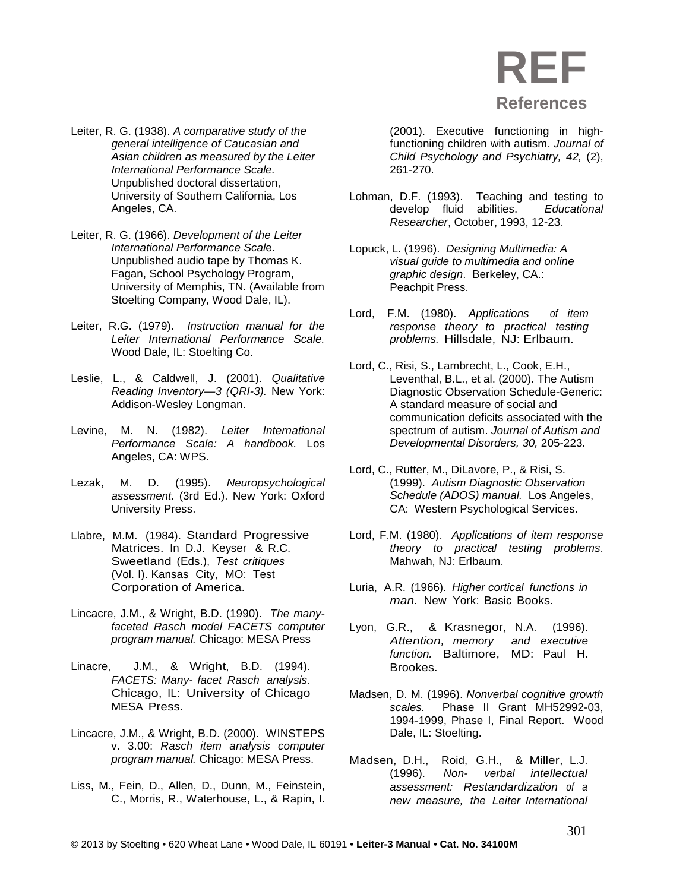

- Leiter, R. G. (1938). *A comparative study of the general intelligence of Caucasian and Asian children as measured by the Leiter International Performance Scale.*  Unpublished doctoral dissertation, University of Southern California, Los Angeles, CA.
- Leiter, R. G. (1966). *Development of the Leiter International Performance Scal*e. Unpublished audio tape by Thomas K. Fagan, School Psychology Program, University of Memphis, TN. (Available from Stoelting Company, Wood Dale, IL).
- Leiter, R.G. (1979). *Instruction manual for the Leiter International Performance Scale.* Wood Dale, IL: Stoelting Co.
- Leslie, L., & Caldwell, J. (2001). *Qualitative Reading Inventory—3 (QRI-3).* New York: Addison-Wesley Longman.
- Levine, M. N. (1982). *Leiter International Performance Scale: A handbook.* Los Angeles, CA: WPS.
- Lezak, M. D. (1995). *Neuropsychological assessment*. (3rd Ed.). New York: Oxford University Press.
- Llabre, M.M. (1984). Standard Progressive Matrices. In D.J. Keyser & R.C. Sweetland (Eds.), *Test critiques* (Vol. I). Kansas City, MO: Test Corporation of America.
- Lincacre, J.M., & Wright, B.D. (1990). *The manyfaceted Rasch model FACETS computer program manual.* Chicago: MESA Press
- Linacre, J.M., & Wright, B.D. (1994). *FACETS: Many- facet Rasch analysis.*  Chicago, IL: University of Chicago MESA Press.
- Lincacre, J.M., & Wright, B.D. (2000). WINSTEPS v. 3.00: *Rasch item analysis computer program manual.* Chicago: MESA Press.
- Liss, M., Fein, D., Allen, D., Dunn, M., Feinstein, C., Morris, R., Waterhouse, L., & Rapin, I.

(2001). Executive functioning in highfunctioning children with autism. *Journal of Child Psychology and Psychiatry, 42,* (2), 261-270.

- Lohman, D.F. (1993). Teaching and testing to develop fluid abilities. *Educational Researcher*, October, 1993, 12-23.
- Lopuck, L. (1996). *Designing Multimedia: A visual guide to multimedia and online graphic design*. Berkeley, CA.: Peachpit Press.
- Lord, F.M. (1980). *Applications of item response theory to practical testing problems.* Hillsdale, NJ: Erlbaum.
- Lord, C., Risi, S., Lambrecht, L., Cook, E.H., Leventhal, B.L., et al. (2000). The Autism Diagnostic Observation Schedule-Generic: A standard measure of social and communication deficits associated with the spectrum of autism. *Journal of Autism and Developmental Disorders, 30,* 205-223.
- Lord, C., Rutter, M., DiLavore, P., & Risi, S. (1999). *Autism Diagnostic Observation Schedule (ADOS) manual.* Los Angeles, CA: Western Psychological Services.
- Lord, F.M. (1980). *Applications of item response theory to practical testing problems*. Mahwah, NJ: Erlbaum.
- Luria, A.R. (1966). *Higher cortical functions in man.* New York: Basic Books.
- Lyon, G.R., & Krasnegor, N.A. (1996). *Attention, memory and executive function.* Baltimore, MD: Paul H. Brookes.
- Madsen, D. M. (1996). *Nonverbal cognitive growth scales.* Phase II Grant MH52992-03, 1994-1999, Phase I, Final Report. Wood Dale, IL: Stoelting.
- Madsen, D.H., Roid, G.H., & Miller, L.J. (1996). *Non- verbal intellectual assessment: Restandardization of a new measure, the Leiter International*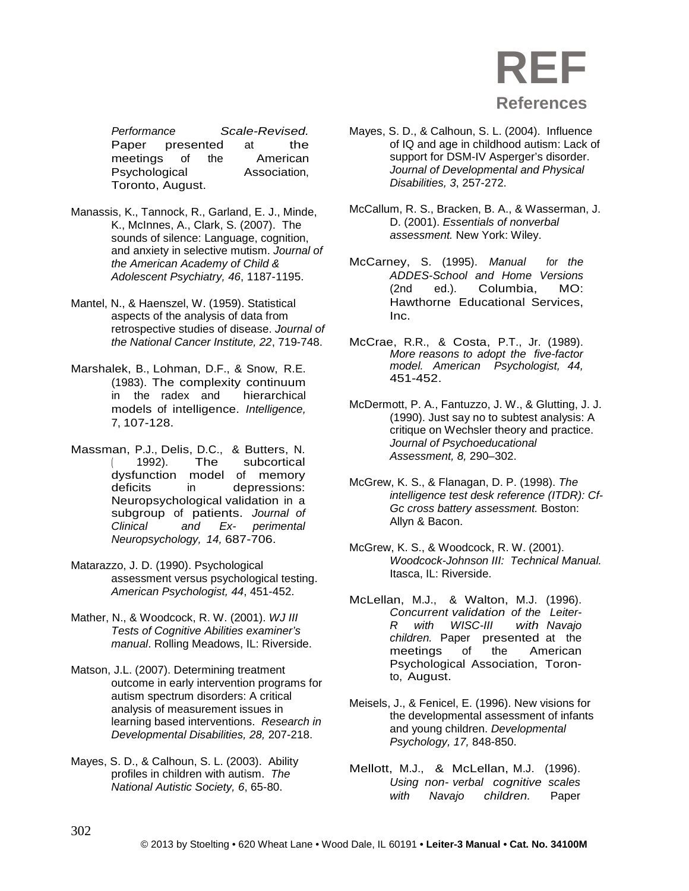

*Performance Scale-Revised.* presented at the<br>
of the American meetings of the Psychological Association, Toronto, August.

- Manassis, K., Tannock, R., Garland, E. J., Minde, K., McInnes, A., Clark, S. (2007). The sounds of silence: Language, cognition, and anxiety in selective mutism. *Journal of the American Academy of Child & Adolescent Psychiatry, 46*, 1187-1195.
- Mantel, N., & Haenszel, W. (1959). Statistical aspects of the analysis of data from retrospective studies of disease. *Journal of the National Cancer Institute, 22*, 719-748.
- Marshalek, B., Lohman, D.F., & Snow, R.E. (1983). The complexity continuum in the radex and models of intelligence. *Intelligence,* 7, 107-128.
- Massman, P.J., Delis, D.C., & Butters, N. ( 1992). The subcortical dysfunction model of memory<br>deficits in depressions: depressions: Neuropsychological validation in a subgroup of patients. *Journal of Clinical and Ex- perimental Neuropsychology, 14,* 687-706.
- Matarazzo, J. D. (1990). Psychological assessment versus psychological testing. *American Psychologist, 44*, 451-452.
- Mather, N., & Woodcock, R. W. (2001). *WJ III Tests of Cognitive Abilities examiner's manual*. Rolling Meadows, IL: Riverside.
- Matson, J.L. (2007). Determining treatment outcome in early intervention programs for autism spectrum disorders: A critical analysis of measurement issues in learning based interventions. *Research in Developmental Disabilities, 28,* 207-218.
- Mayes, S. D., & Calhoun, S. L. (2003). Ability profiles in children with autism. *The National Autistic Society, 6*, 65-80.
- Mayes, S. D., & Calhoun, S. L. (2004). Influence of IQ and age in childhood autism: Lack of support for DSM-IV Asperger's disorder. *Journal of Developmental and Physical Disabilities, 3*, 257-272.
- McCallum, R. S., Bracken, B. A., & Wasserman, J. D. (2001). *Essentials of nonverbal assessment.* New York: Wiley.
- McCarney, S. (1995). *Manual for the ADDES-School and Home Versions* (2nd ed.). Columbia, MO: Hawthorne Educational Services, Inc.
- McCrae, R.R., & Costa, P.T., Jr. (1989). *More reasons to adopt the five-factor model. American Psychologist, 44,* 451-452.
- McDermott, P. A., Fantuzzo, J. W., & Glutting, J. J. (1990). Just say no to subtest analysis: A critique on Wechsler theory and practice. *Journal of Psychoeducational Assessment, 8,* 290–302.
- McGrew, K. S., & Flanagan, D. P. (1998). *The intelligence test desk reference (ITDR): Cf-Gc cross battery assessment.* Boston: Allyn & Bacon.
- McGrew, K. S., & Woodcock, R. W. (2001). *Woodcock-Johnson III: Technical Manual.*  Itasca, IL: Riverside.
- McLellan, M.J., & Walton, M.J. (1996). *Concurrent validation of the Leiter-R with WISC-III with Navajo children.* Paper presented at the meetings of the American meetings Psychological Association, Toronto, August.
- Meisels, J., & Fenicel, E. (1996). New visions for the developmental assessment of infants and young children. *Developmental Psychology, 17,* 848-850.
- Mellott, M.J., & McLellan, M.J. (1996). *Using non- verbal cognitive scales with Navajo children.* Paper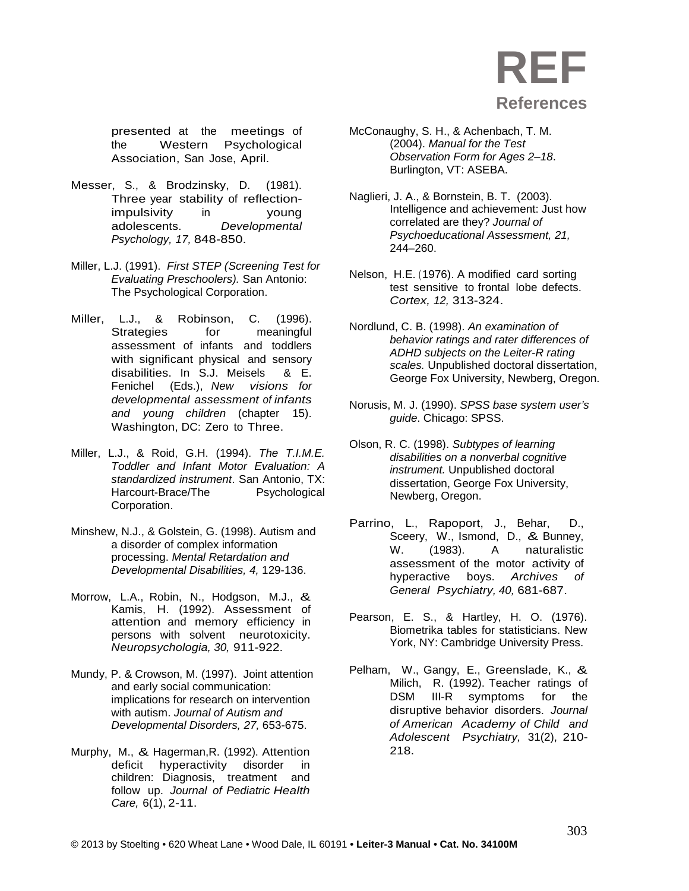presented at the meetings of the Western Psychological Association, San Jose, April.

- Messer, S., & Brodzinsky, D. (1981). Three year stability of reflectionimpulsivity in young<br>adolescents. Developmental  $Develo o mental$ *Psychology, 17,* 848-850.
- Miller, L.J. (1991). *First STEP (Screening Test for Evaluating Preschoolers).* San Antonio: The Psychological Corporation.
- Miller, L.J., & Robinson, C. (1996). Strategies for meaningful assessment of infants and toddlers with significant physical and sensory disabilities. In S.J. Meisels & E. Fenichel (Eds.), *New visions for developmental assessment of infants and young children* (chapter 15). Washington, DC: Zero to Three.
- Miller, L.J., & Roid, G.H. (1994). *The T.I.M.E. Toddler and Infant Motor Evaluation: A standardized instrument*. San Antonio, TX: Harcourt-Brace/The Psychological Corporation.
- Minshew, N.J., & Golstein, G. (1998). Autism and a disorder of complex information processing. *Mental Retardation and Developmental Disabilities, 4,* 129-136.
- Morrow, L.A., Robin, N., Hodgson, M.J., & Kamis, H. (1992). Assessment of attention and memory efficiency in persons with solvent neurotoxicity. *Neuropsychologia, 30,* 911-922.
- Mundy, P. & Crowson, M. (1997). Joint attention and early social communication: implications for research on intervention with autism. *Journal of Autism and Developmental Disorders, 27,* 653-675.
- Murphy, M., & Hagerman,R. (1992). Attention deficit hyperactivity disorder in children: Diagnosis, treatment and follow up. *Journal of Pediatric Health Care,* 6(1), 2-11.
- McConaughy, S. H., & Achenbach, T. M. (2004). *Manual for the Test Observation Form for Ages 2–18*. Burlington, VT: ASEBA.
- Naglieri, J. A., & Bornstein, B. T. (2003). Intelligence and achievement: Just how correlated are they? *Journal of Psychoeducational Assessment, 21,* 244–260.
- Nelson, H.E. ( 1976). A modified card sorting test sensitive to frontal lobe defects. *Cortex, 12,* 313-324.
- Nordlund, C. B. (1998). *An examination of behavior ratings and rater differences of ADHD subjects on the Leiter-R rating scales.* Unpublished doctoral dissertation, George Fox University, Newberg, Oregon.
- Norusis, M. J. (1990). *SPSS base system user's guide*. Chicago: SPSS.
- Olson, R. C. (1998). *Subtypes of learning disabilities on a nonverbal cognitive instrument.* Unpublished doctoral dissertation, George Fox University, Newberg, Oregon.
- Parrino, L., Rapoport, J., Behar, D., Sceery, W., Ismond, D., & Bunney,<br>W. (1983). A naturalistic naturalistic assessment of the motor activity of hyperactive boys. *Archives of General Psychiatry, 40,* 681-687.
- Pearson, E. S., & Hartley, H. O. (1976). Biometrika tables for statisticians. New York, NY: Cambridge University Press.
- Pelham, W., Gangy, E., Greenslade, K., & Milich, R. (1992). Teacher ratings of DSM III-R symptoms for the disruptive behavior disorders. *Journal of American Academy of Child and Adolescent Psychiatry,* 31(2), 210- 218.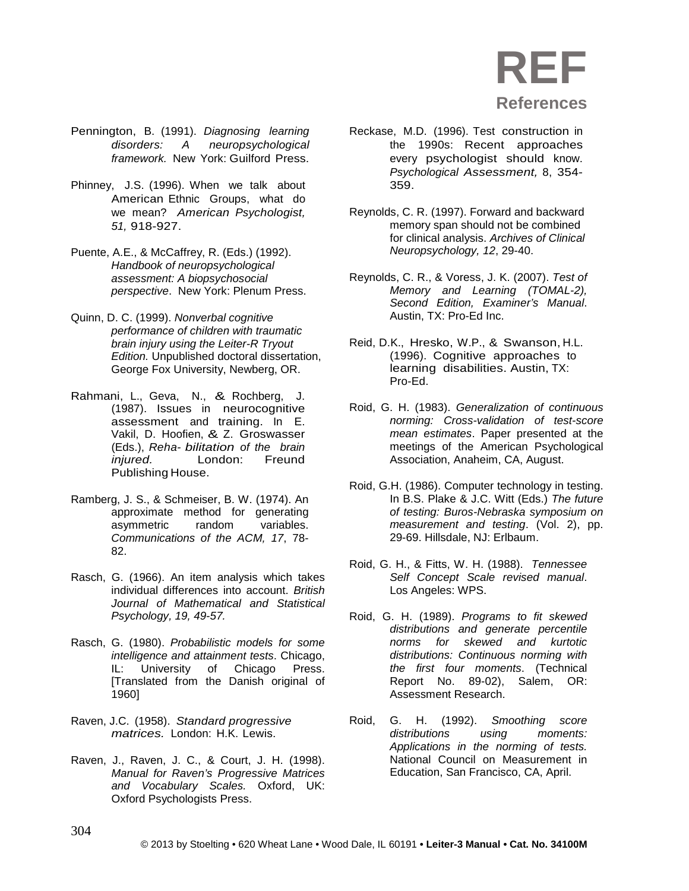

- Pennington, B. (1991). *Diagnosing learning disorders: A neuropsychological framework.* New York: Guilford Press.
- Phinney, J.S. (1996). When we talk about American Ethnic Groups, what do we mean? *American Psychologist, 51,* 918-927.
- Puente, A.E., & McCaffrey, R. (Eds.) (1992). *Handbook of neuropsychological assessment: A biopsychosocial perspective*. New York: Plenum Press.
- Quinn, D. C. (1999). *Nonverbal cognitive performance of children with traumatic brain injury using the Leiter-R Tryout Edition.* Unpublished doctoral dissertation, George Fox University, Newberg, OR.
- Rahmani, L., Geva, N., & Rochberg, J. (1987). Issues in neurocognitive assessment and training. In E. Vakil, D. Hoofien, & Z. Groswasser (Eds.), *Reha- bilitation of the brain injured.* London: Freund Publishing House.
- Ramberg, J. S., & Schmeiser, B. W. (1974). An approximate method for generating asymmetric random variables. *Communications of the ACM, 17*, 78- 82.
- Rasch, G. (1966). An item analysis which takes individual differences into account. *British Journal of Mathematical and Statistical Psychology, 19, 49-57.*
- Rasch, G. (1980). *Probabilistic models for some intelligence and attainment tests*. Chicago, IL: University of Chicago Press. [Translated from the Danish original of 1960]
- Raven, J.C. (1958). *Standard progressive matrices.* London: H.K. Lewis.
- Raven, J., Raven, J. C., & Court, J. H. (1998). *Manual for Raven's Progressive Matrices and Vocabulary Scales.* Oxford, UK: Oxford Psychologists Press.
- Reckase, M.D. (1996). Test construction in the 1990s: Recent approaches every psychologist should know. *Psychological Assessment,* 8, 354- 359.
- Reynolds, C. R. (1997). Forward and backward memory span should not be combined for clinical analysis. *Archives of Clinical Neuropsychology, 12*, 29-40.
- Reynolds, C. R., & Voress, J. K. (2007). *Test of Memory and Learning (TOMAL-2), Second Edition, Examiner's Manual*. Austin, TX: Pro-Ed Inc.
- Reid, D.K., Hresko, W.P., & Swanson, H.L. (1996). Cognitive approaches to learning disabilities. Austin, TX: Pro-Ed.
- Roid, G. H. (1983). *Generalization of continuous norming: Cross-validation of test-score mean estimates*. Paper presented at the meetings of the American Psychological Association, Anaheim, CA, August.
- Roid, G.H. (1986). Computer technology in testing. In B.S. Plake & J.C. Witt (Eds.) *The future of testing: Buros-Nebraska symposium on measurement and testing*. (Vol. 2), pp. 29-69. Hillsdale, NJ: Erlbaum.
- Roid, G. H., & Fitts, W. H. (1988). *Tennessee Self Concept Scale revised manual*. Los Angeles: WPS.
- Roid, G. H. (1989). *Programs to fit skewed distributions and generate percentile norms for skewed and kurtotic distributions: Continuous norming with the first four moments*. (Technical Report No. 89-02), Salem, OR: Assessment Research.
- Roid, G. H. (1992). *Smoothing score distributions using moments: Applications in the norming of tests.* National Council on Measurement in Education, San Francisco, CA, April.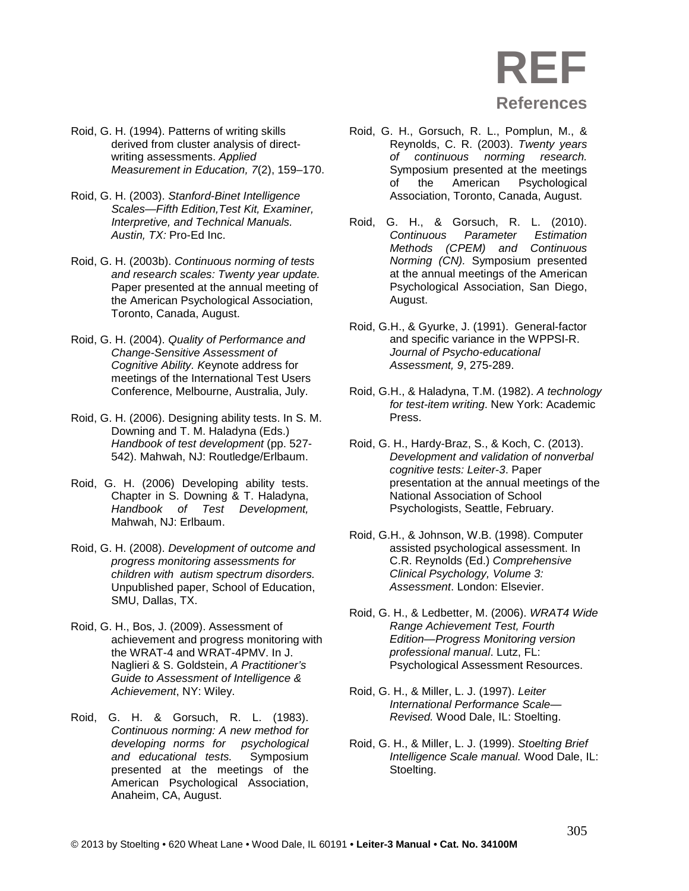- Roid, G. H. (1994). Patterns of writing skills derived from cluster analysis of directwriting assessments. *Applied Measurement in Education, 7*(2), 159–170.
- Roid, G. H. (2003). *Stanford-Binet Intelligence Scales—Fifth Edition,Test Kit, Examiner, Interpretive, and Technical Manuals. Austin, TX:* Pro-Ed Inc.
- Roid, G. H. (2003b). *Continuous norming of tests and research scales: Twenty year update.* Paper presented at the annual meeting of the American Psychological Association, Toronto, Canada, August.
- Roid, G. H. (2004). *Quality of Performance and Change-Sensitive Assessment of Cognitive Ability. K*eynote address for meetings of the International Test Users Conference, Melbourne, Australia, July.
- Roid, G. H. (2006). Designing ability tests. In S. M. Downing and T. M. Haladyna (Eds.) *Handbook of test development* (pp. 527- 542). Mahwah, NJ: Routledge/Erlbaum.
- Roid, G. H. (2006) Developing ability tests. Chapter in S. Downing & T. Haladyna, *Handbook of Test Development,* Mahwah, NJ: Erlbaum.
- Roid, G. H. (2008). *Development of outcome and progress monitoring assessments for children with autism spectrum disorders.* Unpublished paper, School of Education, SMU, Dallas, TX.
- Roid, G. H., Bos, J. (2009). Assessment of achievement and progress monitoring with the WRAT-4 and WRAT-4PMV. In J. Naglieri & S. Goldstein, *A Practitioner's Guide to Assessment of Intelligence & Achievement*, NY: Wiley.
- Roid, G. H. & Gorsuch, R. L. (1983). *Continuous norming: A new method for developing norms for psychological and educational tests.* Symposium presented at the meetings of the American Psychological Association, Anaheim, CA, August.
- Roid, G. H., Gorsuch, R. L., Pomplun, M., & Reynolds, C. R. (2003). *Twenty years of continuous norming research.*  Symposium presented at the meetings<br>of the American Psychological of the American Psychological Association, Toronto, Canada, August.
- Roid, G. H., & Gorsuch, R. L. (2010).<br>Continuous Parameter Estimation **Parameter** Estimation *Methods (CPEM) and Continuous Norming (CN).* Symposium presented at the annual meetings of the American Psychological Association, San Diego, August.
- Roid, G.H., & Gyurke, J. (1991). General-factor and specific variance in the WPPSI-R. *Journal of Psycho-educational Assessment, 9*, 275-289.
- Roid, G.H., & Haladyna, T.M. (1982). *A technology for test-item writing*. New York: Academic Press.
- Roid, G. H., Hardy-Braz, S., & Koch, C. (2013). *Development and validation of nonverbal cognitive tests: Leiter-3*. Paper presentation at the annual meetings of the National Association of School Psychologists, Seattle, February.
- Roid, G.H., & Johnson, W.B. (1998). Computer assisted psychological assessment. In C.R. Reynolds (Ed.) *Comprehensive Clinical Psychology, Volume 3: Assessment*. London: Elsevier.
- Roid, G. H., & Ledbetter, M. (2006). *WRAT4 Wide Range Achievement Test, Fourth Edition—Progress Monitoring version professional manual*. Lutz, FL: Psychological Assessment Resources.
- Roid, G. H., & Miller, L. J. (1997). *Leiter International Performance Scale— Revised.* Wood Dale, IL: Stoelting.
- Roid, G. H., & Miller, L. J. (1999). *Stoelting Brief Intelligence Scale manual.* Wood Dale, IL: Stoelting.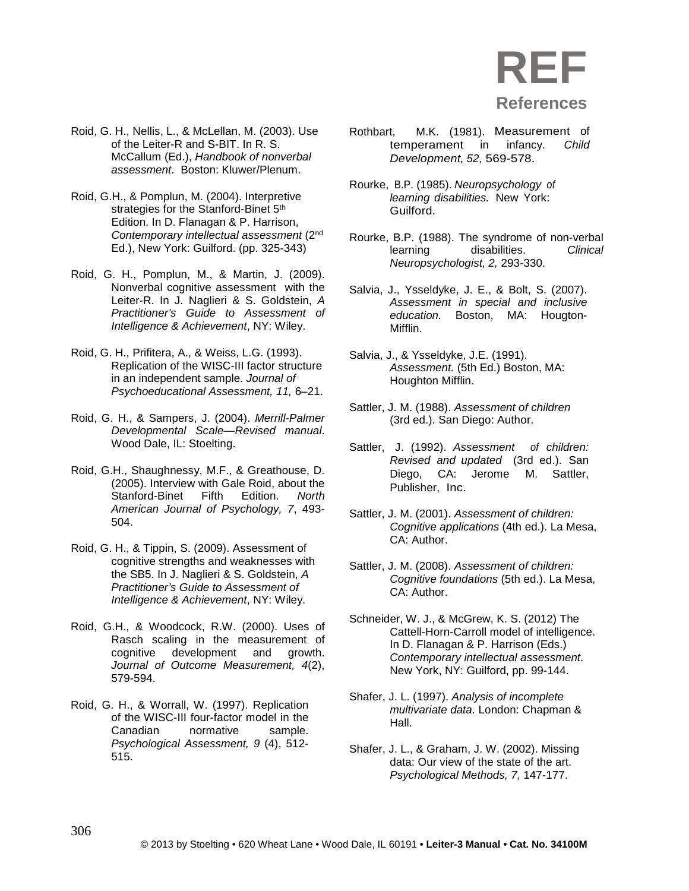

- Roid, G. H., Nellis, L., & McLellan, M. (2003). Use of the Leiter-R and S-BIT. In R. S. McCallum (Ed.), *Handbook of nonverbal assessment*. Boston: Kluwer/Plenum.
- Roid, G.H., & Pomplun, M. (2004). Interpretive strategies for the Stanford-Binet 5<sup>th</sup> Edition. In D. Flanagan & P. Harrison, *Contemporary intellectual assessment* (2nd Ed.), New York: Guilford. (pp. 325-343)
- Roid, G. H., Pomplun, M., & Martin, J. (2009). Nonverbal cognitive assessment with the Leiter-R. In J. Naglieri & S. Goldstein, *A Practitioner's Guide to Assessment of Intelligence & Achievement*, NY: Wiley.
- Roid, G. H., Prifitera, A., & Weiss, L.G. (1993). Replication of the WISC-III factor structure in an independent sample. *Journal of Psychoeducational Assessment, 11,* 6–21.
- Roid, G. H., & Sampers, J. (2004). *Merrill-Palmer Developmental Scale—Revised manual*. Wood Dale, IL: Stoelting.
- Roid, G.H., Shaughnessy, M.F., & Greathouse, D. (2005). Interview with Gale Roid, about the Stanford-Binet Fifth Edition. *North American Journal of Psychology, 7*, 493- 504.
- Roid, G. H., & Tippin, S. (2009). Assessment of cognitive strengths and weaknesses with the SB5. In J. Naglieri & S. Goldstein, *A Practitioner's Guide to Assessment of Intelligence & Achievement*, NY: Wiley.
- Roid, G.H., & Woodcock, R.W. (2000). Uses of Rasch scaling in the measurement of cognitive development and growth. *Journal of Outcome Measurement, 4*(2), 579-594.
- Roid, G. H., & Worrall, W. (1997). Replication of the WISC-III four-factor model in the Canadian normative sample. *Psychological Assessment, 9* (4), 512- 515.
- Rothbart, M.K. (1981). Measurement of temperament in infancy. *Child Development, 52,* 569-578.
- Rourke, B.P. (1985). *Neuropsychology of learning disabilities.* New York: Guilford.
- Rourke, B.P. (1988). The syndrome of non-verbal learning disabilities. *Clinical Neuropsychologist, 2,* 293-330.
- Salvia, J., Ysseldyke, J. E., & Bolt, S. (2007). *Assessment in special and inclusive education.* Boston, MA: Hougton-Mifflin.
- Salvia, J., & Ysseldyke, J.E. (1991). *Assessment.* (5th Ed.) Boston, MA: Houghton Mifflin.
- Sattler, J. M. (1988). *Assessment of children* (3rd ed.). San Diego: Author.
- Sattler, J. (1992). *Assessment of children: Revised and updated* (3rd ed.). San Diego, CA: Jerome M. Sattler, Publisher, Inc.
- Sattler, J. M. (2001). *Assessment of children: Cognitive applications* (4th ed.). La Mesa, CA: Author.
- Sattler, J. M. (2008). *Assessment of children: Cognitive foundations* (5th ed.). La Mesa, CA: Author.
- Schneider, W. J., & McGrew, K. S. (2012) The Cattell-Horn-Carroll model of intelligence. In D. Flanagan & P. Harrison (Eds.) *Contemporary intellectual assessment*. New York, NY: Guilford, pp. 99-144.
- Shafer, J. L. (1997). *Analysis of incomplete multivariate data.* London: Chapman & Hall.
- Shafer, J. L., & Graham, J. W. (2002). Missing data: Our view of the state of the art. *Psychological Methods, 7,* 147-177.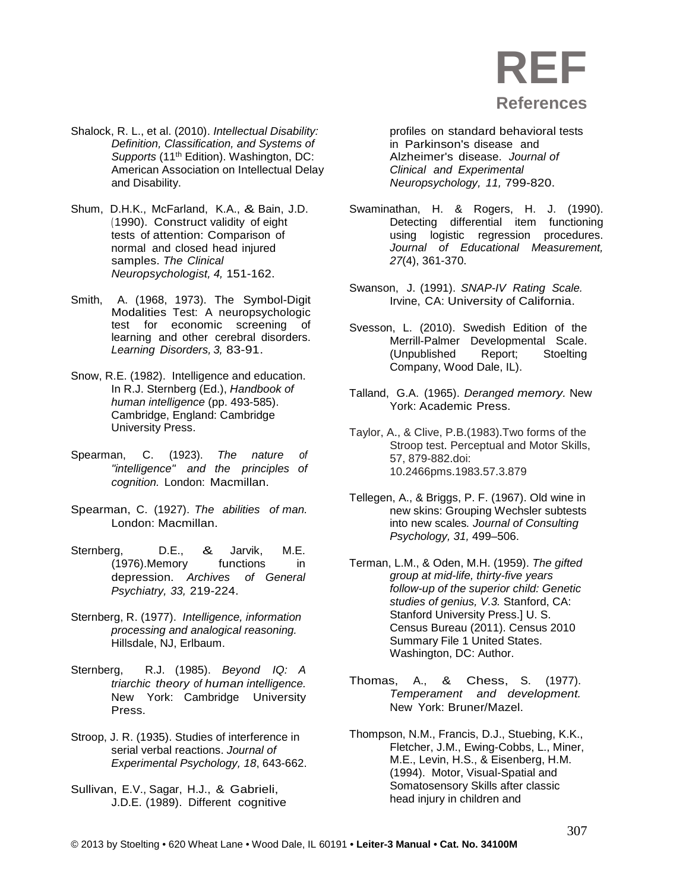

- Shalock, R. L., et al. (2010). *Intellectual Disability: Definition, Classification, and Systems of Supports* (11th Edition). Washington, DC: American Association on Intellectual Delay and Disability.
- Shum, D.H.K., McFarland, K.A., & Bain, J.D. ( 1990). Construct validity of eight tests of attention: Comparison of normal and closed head injured samples. *The Clinical Neuropsychologist, 4,* 151-162.
- Smith, A. (1968, 1973). The Symbol-Digit Modalities Test: A neuropsychologic test for economic screening of learning and other cerebral disorders. *Learning Disorders, 3,* 83-91.
- Snow, R.E. (1982). Intelligence and education. In R.J. Sternberg (Ed.), *Handbook of human intelligence* (pp. 493-585). Cambridge, England: Cambridge University Press.
- Spearman, C. (1923). *The nature of "intelligence" and the principles of cognition.* London: Macmillan.
- Spearman, C. (1927). *The abilities of man.*  London: Macmillan.
- Sternberg, D.E., & Jarvik, M.E.<br>(1976).Memory functions in (1976).Memory functions in depression. *Archives of General Psychiatry, 33,* 219-224.
- Sternberg, R. (1977). *Intelligence, information processing and analogical reasoning.* Hillsdale, NJ, Erlbaum.
- Sternberg, R.J. (1985). *Beyond IQ: A triarchic theory of human intelligence.*  New York: Cambridge University Press.
- Stroop, J. R. (1935). Studies of interference in serial verbal reactions. *Journal of Experimental Psychology, 18*, 643-662.
- Sullivan, E.V., Sagar, H.J., & Gabrieli, J.D.E. (1989). Different cognitive

profiles on standard behavioral tests in Parkinson's disease and Alzheimer's disease. *Journal of Clinical and Experimental Neuropsychology, 11,* 799-820.

- Swaminathan, H. & Rogers, H. J. (1990). Detecting differential item functioning using logistic regression procedures. *Journal of Educational Measurement, 27*(4), 361-370.
- Swanson, J. (1991). *SNAP-IV Rating Scale.* Irvine, CA: University of California.
- Svesson, L. (2010). Swedish Edition of the Merrill-Palmer Developmental Scale. (Unpublished Report; Stoelting Company, Wood Dale, IL).
- Talland, G.A. (1965). *Deranged memory.* New York: Academic Press.
- Taylor, A., & Clive, P.B.(1983).Two forms of the Stroop test. Perceptual and Motor Skills, 57, 879-882.doi: 10.2466pms.1983.57.3.879
- Tellegen, A., & Briggs, P. F. (1967). Old wine in new skins: Grouping Wechsler subtests into new scales*. Journal of Consulting Psychology, 31,* 499–506.
- Terman, L.M., & Oden, M.H. (1959). *The gifted group at mid-life, thirty-five years follow-up of the superior child: Genetic studies of genius, V.3.* Stanford, CA: Stanford University Press.] U. S. Census Bureau (2011). Census 2010 Summary File 1 United States. Washington, DC: Author.
- Thomas, A., & Chess, S. (1977). *Temperament and development.* New York: Bruner/Mazel.
- Thompson, N.M., Francis, D.J., Stuebing, K.K., Fletcher, J.M., Ewing-Cobbs, L., Miner, M.E., Levin, H.S., & Eisenberg, H.M. (1994). Motor, Visual-Spatial and Somatosensory Skills after classic head injury in children and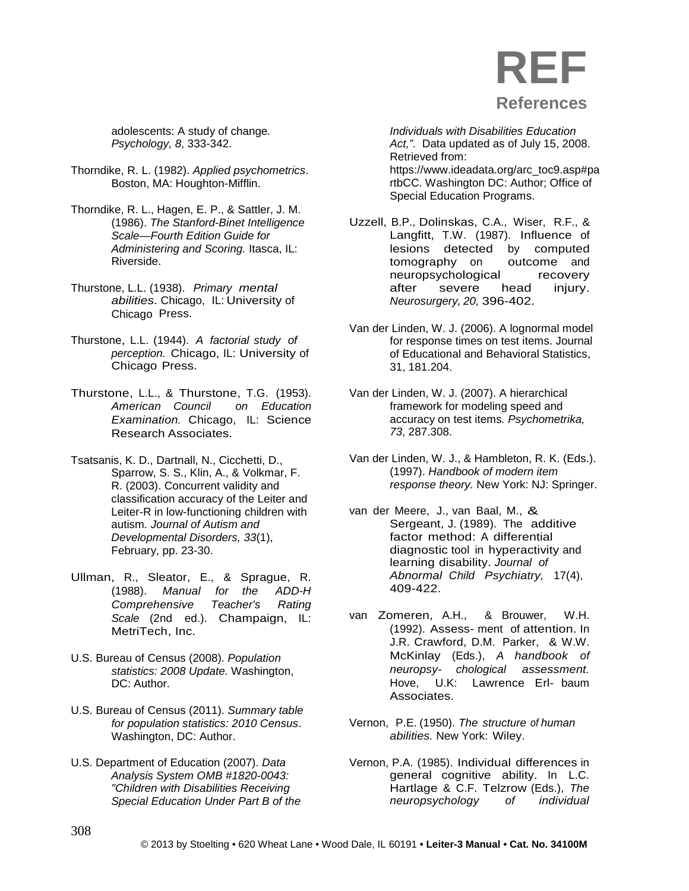adolescents: A study of change*. Psychology, 8*, 333-342.

- Thorndike, R. L. (1982). *Applied psychometrics*. Boston, MA: Houghton-Mifflin.
- Thorndike, R. L., Hagen, E. P., & Sattler, J. M. (1986). *The Stanford-Binet Intelligence Scale—Fourth Edition Guide for*  Administering and Scoring. Itasca, IL: Riverside.
- Thurstone, L.L. (1938). *Primary mental abilities.* Chicago, IL: University of Chicago Press.
- Thurstone, L.L. (1944). *A factorial study of perception.* Chicago, IL: University of Chicago Press.
- Thurstone, L.L., & Thurstone, T.G. (1953). *American Council on Education Examination.* Chicago, IL: Science Research Associates.
- Tsatsanis, K. D., Dartnall, N., Cicchetti, D., Sparrow, S. S., Klin, A., & Volkmar, F. R. (2003). Concurrent validity and classification accuracy of the Leiter and Leiter-R in low-functioning children with autism*. Journal of Autism and Developmental Disorders, 33*(1), February, pp. 23-30.
- Ullman, R., Sleator, E., & Sprague, R. (1988). *Manual for the ADD-H Comprehensive Teacher's Rating Scale* (2nd ed.). Champaign, IL: MetriTech, Inc.
- U.S. Bureau of Census (2008). *Population statistics: 2008 Update.* Washington, DC: Author.
- U.S. Bureau of Census (2011). *Summary table for population statistics: 2010 Census*. Washington, DC: Author.
- U.S. Department of Education (2007). *Data Analysis System OMB #1820-0043: "Children with Disabilities Receiving Special Education Under Part B of the*

*Individuals with Disabilities Education Act,"*. Data updated as of July 15, 2008. Retrieved from: [https://www.ideadata.org/arc\\_toc9.asp#pa](https://www.ideadata.org/arc_toc9.asp#partbCC) [rtbCC.](https://www.ideadata.org/arc_toc9.asp#partbCC) Washington DC: Author; Office of Special Education Programs.

- Uzzell, B.P., Dolinskas, C.A., Wiser, R.F., & Langfitt, T.W. (1987). Influence of lesions detected by computed<br>tomography on outcome and tomography on neuropsychological recovery after severe head injury. *Neurosurgery, 20,* 396-402.
- Van der Linden, W. J. (2006). A lognormal model for response times on test items. Journal of Educational and Behavioral Statistics, 31, 181.204.
- Van der Linden, W. J. (2007). A hierarchical framework for modeling speed and accuracy on test items*. Psychometrika, 73*, 287.308.
- Van der Linden, W. J., & Hambleton, R. K. (Eds.). (1997). *Handbook of modern item response theory.* New York: NJ: Springer.
- van der Meere, J., van Baal, M., & Sergeant, J. (1989). The additive factor method: A differential diagnostic tool in hyperactivity and learning disability. *Journal of Abnormal Child Psychiatry,* 17(4), 409-422.
- van Zomeren, A.H., & Brouwer, W.H. (1992). Assess- ment of attention. In J.R. Crawford, D.M. Parker, & W.W. McKinlay (Eds.), *A handbook of neuropsy- chological assessment.*  Hove, U.K: Lawrence Erl- baum Associates.
- Vernon, P.E. (1950). *The structure of human abilities.* New York: Wiley.
- Vernon, P.A. (1985). Individual differences in general cognitive ability. In L.C. Hartlage & C.F. Telzrow (Eds.), *The neuropsychology of individual*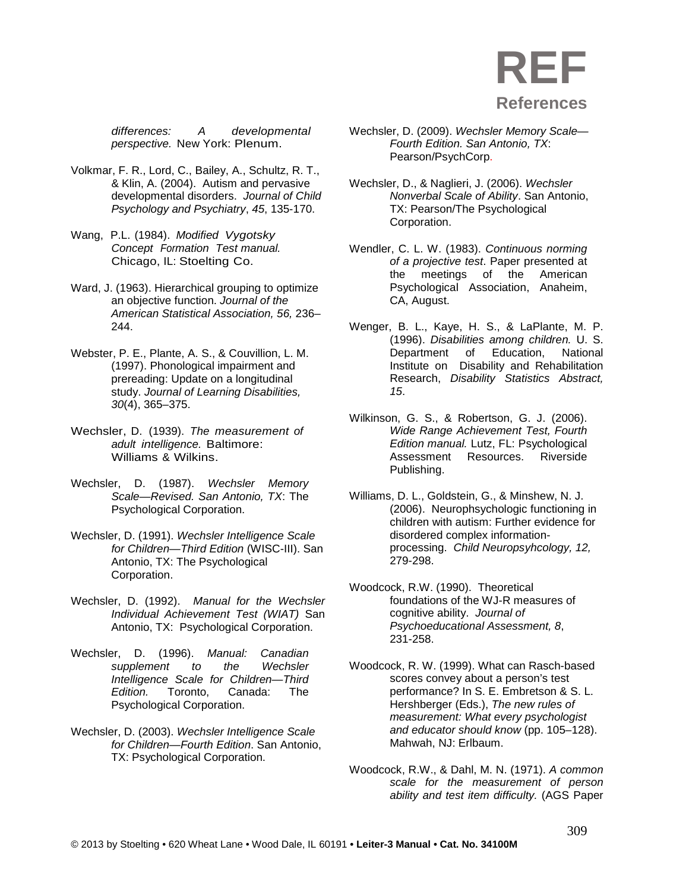

*differences: A developmental perspective.* New York: Plenum.

- Volkmar, F. R., Lord, C., Bailey, A., Schultz, R. T., & Klin, A. (2004). Autism and pervasive developmental disorders. *Journal of Child Psychology and Psychiatry*, *45*, 135-170.
- Wang, P.L. (1984). *Modified Vygotsky Concept Formation Test manual.* Chicago, IL: Stoelting Co.
- Ward, J. (1963). Hierarchical grouping to optimize an objective function. *Journal of the American Statistical Association, 56,* 236– 244.
- Webster, P. E., Plante, A. S., & Couvillion, L. M. (1997). Phonological impairment and prereading: Update on a longitudinal study. *Journal of Learning Disabilities, 30*(4), 365–375.
- Wechsler, D. (1939). *The measurement of adult intelligence.* Baltimore: Williams & Wilkins.
- Wechsler, D. (1987). *Wechsler Memory Scale—Revised. San Antonio, TX*: The Psychological Corporation.
- Wechsler, D. (1991). *Wechsler Intelligence Scale for Children—Third Edition* (WISC-III). San Antonio, TX: The Psychological Corporation.
- Wechsler, D. (1992). *Manual for the Wechsler Individual Achievement Test (WIAT)* San Antonio, TX: Psychological Corporation.
- Wechsler, D. (1996). *Manual: Canadian supplement* to the *Intelligence Scale for Children—Third Edition.* Toronto, Canada: The Psychological Corporation.
- Wechsler, D. (2003). *Wechsler Intelligence Scale for Children—Fourth Edition*. San Antonio, TX: Psychological Corporation.
- Wechsler, D. (2009). *Wechsler Memory Scale— Fourth Edition. San Antonio, TX*: Pearson/PsychCorp.
- Wechsler, D., & Naglieri, J. (2006). *Wechsler Nonverbal Scale of Ability*. San Antonio, TX: Pearson/The Psychological Corporation.
- Wendler, C. L. W. (1983). *Continuous norming of a projective test*. Paper presented at the meetings of the American Psychological Association, Anaheim, CA, August.
- Wenger, B. L., Kaye, H. S., & LaPlante, M. P. (1996). *Disabilities among children.* U. S. Department of Education, National Institute on Disability and Rehabilitation Research, *Disability Statistics Abstract, 15*.
- Wilkinson, G. S., & Robertson, G. J. (2006). *Wide Range Achievement Test, Fourth Edition manual.* Lutz, FL: Psychological Assessment Resources. Publishing.
- Williams, D. L., Goldstein, G., & Minshew, N. J. (2006). Neurophsychologic functioning in children with autism: Further evidence for disordered complex informationprocessing. *Child Neuropsyhcology, 12,* 279-298.
- Woodcock, R.W. (1990). Theoretical foundations of the WJ-R measures of cognitive ability. *Journal of Psychoeducational Assessment, 8*, 231-258.
- Woodcock, R. W. (1999). What can Rasch-based scores convey about a person's test performance? In S. E. Embretson & S. L. Hershberger (Eds.), *The new rules of measurement: What every psychologist and educator should know* (pp. 105–128). Mahwah, NJ: Erlbaum.
- Woodcock, R.W., & Dahl, M. N. (1971). *A common scale for the measurement of person ability and test item difficulty.* (AGS Paper